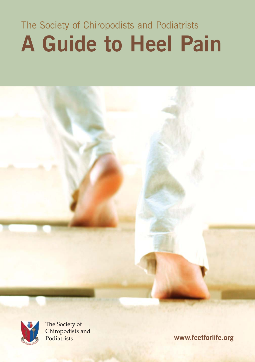# The Society of Chiropodists and Podiatrists **A Guide to Heel Pain**





The Society of Chiropodists and<br>Podiatrists

www.feetforlife.org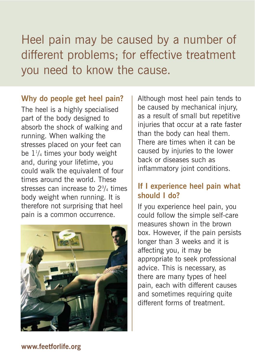Heel pain may be caused by a number of different problems; for effective treatment you need to know the cause.

#### **Why do people get heel pain?**

The heel is a highly specialised part of the body designed to absorb the shock of walking and running. When walking the stresses placed on your feet can be  $1\frac{1}{4}$  times your body weight and, during your lifetime, you could walk the equivalent of four times around the world. These stresses can increase to 23 /4 times body weight when running. It is therefore not surprising that heel pain is a common occurrence.



Although most heel pain tends to be caused by mechanical injury, as a result of small but repetitive injuries that occur at a rate faster than the body can heal them. There are times when it can be caused by injuries to the lower back or diseases such as inflammatory joint conditions.

# **If I experience heel pain what should I do?**

If you experience heel pain, you could follow the simple self-care measures shown in the brown box. However, if the pain persists longer than 3 weeks and it is affecting you, it may be appropriate to seek professional advice. This is necessary, as there are many types of heel pain, each with different causes and sometimes requiring quite different forms of treatment.

#### **www.feetforlife.org**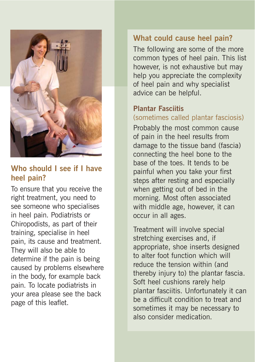

## **Who should I see if I have heel pain?**

To ensure that you receive the right treatment, you need to see someone who specialises in heel pain. Podiatrists or Chiropodists, as part of their training, specialise in heel pain, its cause and treatment. They will also be able to determine if the pain is being caused by problems elsewhere in the body, for example back pain. To locate podiatrists in your area please see the back page of this leaflet.

## **What could cause heel pain?**

The following are some of the more common types of heel pain. This list however, is not exhaustive but may help you appreciate the complexity of heel pain and why specialist advice can be helpful.

### **Plantar Fasciitis**

## (sometimes called plantar fasciosis)

Probably the most common cause of pain in the heel results from damage to the tissue band (fascia) connecting the heel bone to the base of the toes. It tends to be painful when you take your first steps after resting and especially when getting out of bed in the morning. Most often associated with middle age, however, it can occur in all ages.

Treatment will involve special stretching exercises and, if appropriate, shoe inserts designed to alter foot function which will reduce the tension within (and thereby injury to) the plantar fascia. Soft heel cushions rarely help plantar fasciitis. Unfortunately it can be a difficult condition to treat and sometimes it may be necessary to also consider medication.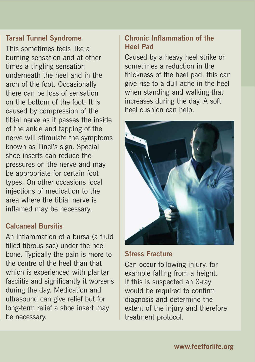#### **Tarsal Tunnel Syndrome**

This sometimes feels like a burning sensation and at other times a tingling sensation underneath the heel and in the arch of the foot. Occasionally there can be loss of sensation on the bottom of the foot. It is caused by compression of the tibial nerve as it passes the inside of the ankle and tapping of the nerve will stimulate the symptoms known as Tinel's sign. Special shoe inserts can reduce the pressures on the nerve and may be appropriate for certain foot types. On other occasions local injections of medication to the area where the tibial nerve is inflamed may be necessary.

## **Calcaneal Bursitis**

An inflammation of a bursa (a fluid filled fibrous sac) under the heel bone. Typically the pain is more to the centre of the heel than that which is experienced with plantar fasciitis and significantly it worsens during the day. Medication and ultrasound can give relief but for long-term relief a shoe insert may be necessary.

## **Chronic Inflammation of the Heel Pad**

Caused by a heavy heel strike or sometimes a reduction in the thickness of the heel pad, this can give rise to a dull ache in the heel when standing and walking that increases during the day. A soft heel cushion can help.



#### **Stress Fracture**

Can occur following injury, for example falling from a height. If this is suspected an X-ray would be required to confirm diagnosis and determine the extent of the injury and therefore treatment protocol.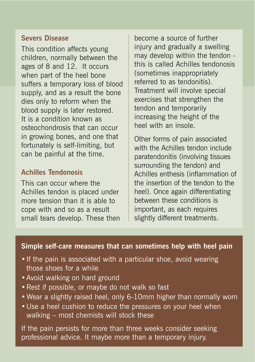#### **Severs Disease**

This condition affects young children, normally between the ages of 8 and 12. It occurs when part of the heel bone suffers a temporary loss of blood supply, and as a result the bone dies only to reform when the blood supply is later restored. It is a condition known as osteochondrosis that can occur in growing bones, and one that fortunately is self-limiting, but can be painful at the time.

### **Achilles Tendonosis**

This can occur where the Achilles tendon is placed under more tension than it is able to cope with and so as a result small tears develop. These then

become a source of further injury and gradually a swelling may develop within the tendon this is called Achilles tendonosis (sometimes inappropriately referred to as tendonitis). Treatment will involve special exercises that strengthen the tendon and temporarily increasing the height of the heel with an insole.

Other forms of pain associated with the Achilles tendon include paratendonitis (involving tissues surrounding the tendon) and Achilles enthesis (inflammation of the insertion of the tendon to the heel). Once again differentiating between these conditions is important, as each requires slightly different treatments.

#### **Simple self-care measures that can sometimes help with heel pain**

- If the pain is associated with a particular shoe, avoid wearing those shoes for a while
- •Avoid walking on hard ground
- •Rest if possible, or maybe do not walk so fast
- •Wear a slightly raised heel, only 6-10mm higher than normally worn
- •Use a heel cushion to reduce the pressures on your heel when walking – most chemists will stock these

If the pain persists for more than three weeks consider seeking professional advice. It maybe more than a temporary injury.